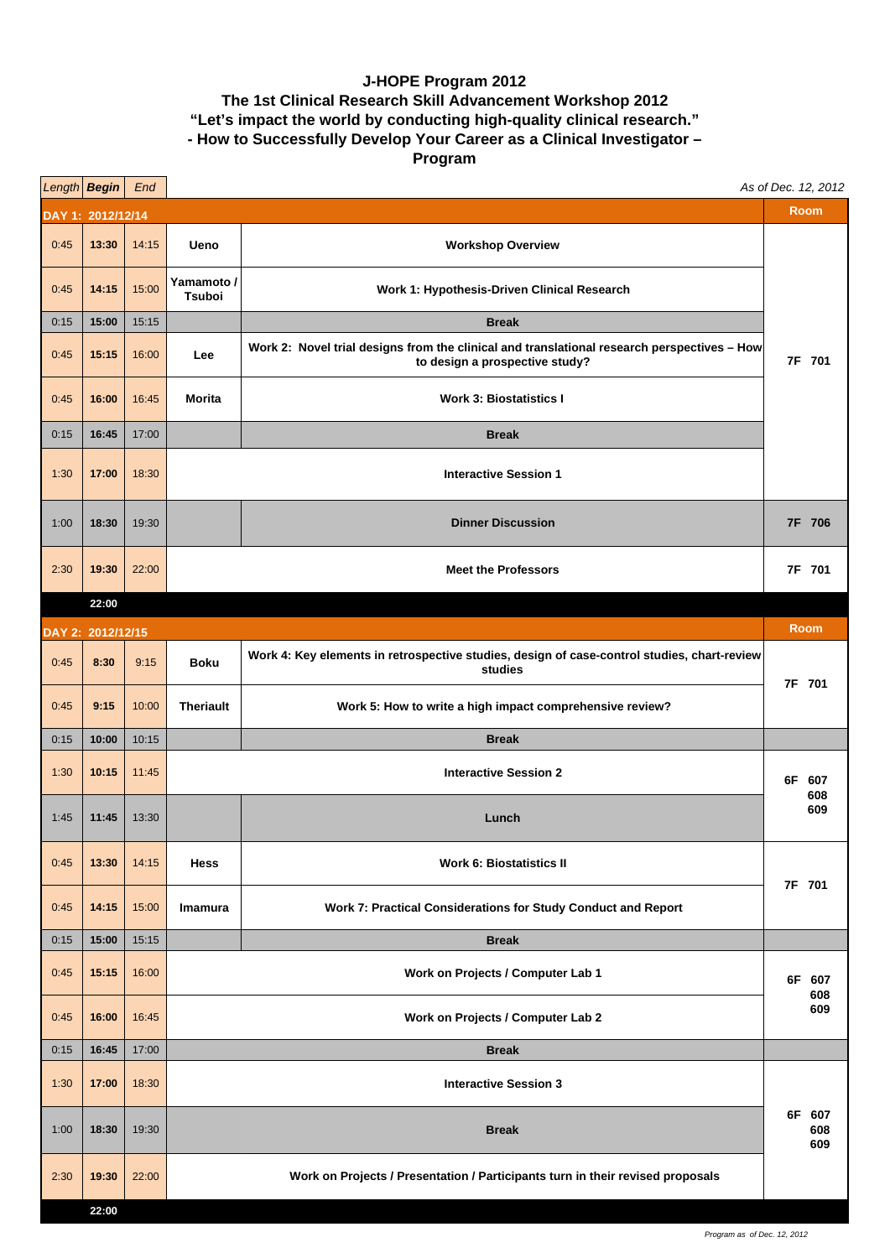## **J-HOPE Program 2012 The 1st Clinical Research Skill Advancement Workshop 2012 "Let's impact the world by conducting high-quality clinical research." - How to Successfully Develop Your Career as a Clinical Investigator – Program**

|                                  | Length Begin   | End   |                                   |                                                                                                                               | As of Dec. 12, 2012  |  |  |
|----------------------------------|----------------|-------|-----------------------------------|-------------------------------------------------------------------------------------------------------------------------------|----------------------|--|--|
| <b>Room</b><br>DAY 1: 2012/12/14 |                |       |                                   |                                                                                                                               |                      |  |  |
| 0:45                             | 13:30          | 14:15 | Ueno                              | <b>Workshop Overview</b>                                                                                                      |                      |  |  |
| 0:45                             | 14:15          | 15:00 | Yamamoto /<br>Tsuboi              | Work 1: Hypothesis-Driven Clinical Research                                                                                   |                      |  |  |
| 0:15                             | 15:00          | 15:15 |                                   | <b>Break</b>                                                                                                                  |                      |  |  |
| 0:45                             | 15:15          | 16:00 | Lee                               | Work 2: Novel trial designs from the clinical and translational research perspectives - How<br>to design a prospective study? | 7F 701               |  |  |
| 0:45                             | 16:00          | 16:45 | <b>Morita</b>                     | <b>Work 3: Biostatistics I</b>                                                                                                |                      |  |  |
| 0:15                             | 16:45          | 17:00 |                                   | <b>Break</b>                                                                                                                  |                      |  |  |
| 1:30                             | 17:00          | 18:30 | <b>Interactive Session 1</b>      |                                                                                                                               |                      |  |  |
| 1:00                             | 18:30          | 19:30 |                                   | <b>Dinner Discussion</b>                                                                                                      | 7F 706               |  |  |
| 2:30                             | 19:30          | 22:00 |                                   | <b>Meet the Professors</b>                                                                                                    | 7F 701               |  |  |
|                                  | 22:00          |       |                                   |                                                                                                                               |                      |  |  |
| DAY 2: 2012/12/15                |                |       |                                   |                                                                                                                               | <b>Room</b>          |  |  |
| 0:45                             | 8:30           | 9:15  | <b>Boku</b>                       | Work 4: Key elements in retrospective studies, design of case-control studies, chart-review<br>studies                        | 7F 701               |  |  |
| 0:45                             | 9:15           | 10:00 | <b>Theriault</b>                  | Work 5: How to write a high impact comprehensive review?                                                                      |                      |  |  |
| 0:15                             | 10:00          | 10:15 |                                   | <b>Break</b>                                                                                                                  |                      |  |  |
| 1:30                             | 10:15          | 11:45 |                                   | <b>Interactive Session 2</b>                                                                                                  | 6F 607<br>608        |  |  |
| 1:45                             | 11:45          | 13:30 |                                   | Lunch                                                                                                                         | 609                  |  |  |
| 0:45                             | 13:30          | 14:15 | Hess                              | <b>Work 6: Biostatistics II</b>                                                                                               | 7F 701               |  |  |
| 0:45                             | 14:15          | 15:00 | Imamura                           | Work 7: Practical Considerations for Study Conduct and Report                                                                 |                      |  |  |
| 0:15                             | 15:00          | 15:15 |                                   | <b>Break</b>                                                                                                                  |                      |  |  |
| 0:45                             | 15:15          | 16:00 | Work on Projects / Computer Lab 1 |                                                                                                                               | 6F 607<br>608<br>609 |  |  |
| 0:45                             | 16:00          | 16:45 | Work on Projects / Computer Lab 2 |                                                                                                                               |                      |  |  |
| 0:15                             | 16:45          | 17:00 |                                   | <b>Break</b>                                                                                                                  |                      |  |  |
| 1:30                             | 17:00          | 18:30 |                                   | <b>Interactive Session 3</b>                                                                                                  |                      |  |  |
| 1:00                             | 18:30          | 19:30 |                                   | <b>Break</b>                                                                                                                  | 6F 607<br>608<br>609 |  |  |
| 2:30                             | 19:30<br>22:00 | 22:00 |                                   | Work on Projects / Presentation / Participants turn in their revised proposals                                                |                      |  |  |